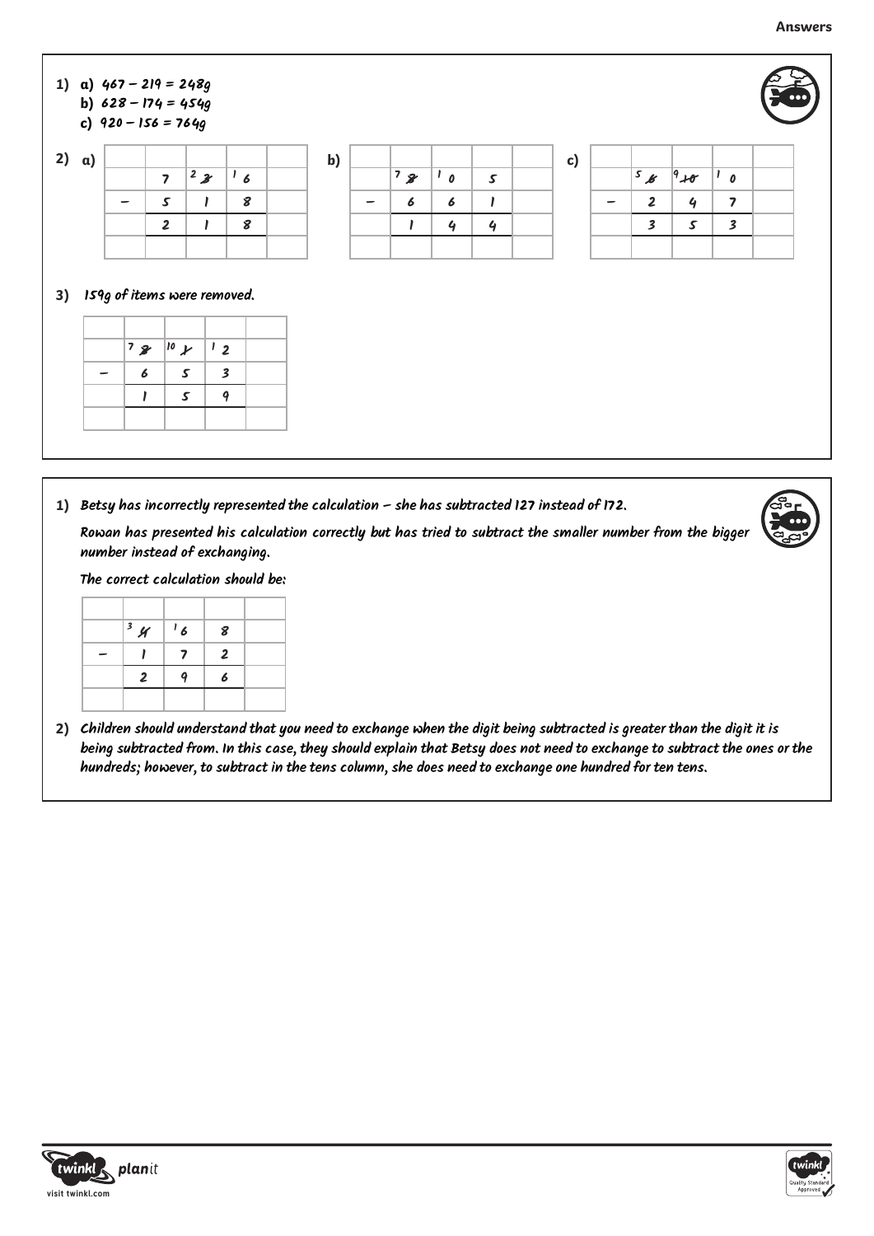

**1) Betsy has incorrectly represented the calculation – she has subtracted 127 instead of 172.**

**Rowan has presented his calculation correctly but has tried to subtract the smaller number from the bigger number instead of exchanging.**

**The correct calculation should be:**

| 34             | $\frac{1}{6}$ | 8              |  |
|----------------|---------------|----------------|--|
|                | 7             | $\overline{2}$ |  |
| $\overline{2}$ |               | 6              |  |
|                |               |                |  |

**2) Children should understand that you need to exchange when the digit being subtracted is greater than the digit it is being subtracted from. In this case, they should explain that Betsy does not need to exchange to subtract the ones or the hundreds; however, to subtract in the tens column, she does need to exchange one hundred for ten tens.**